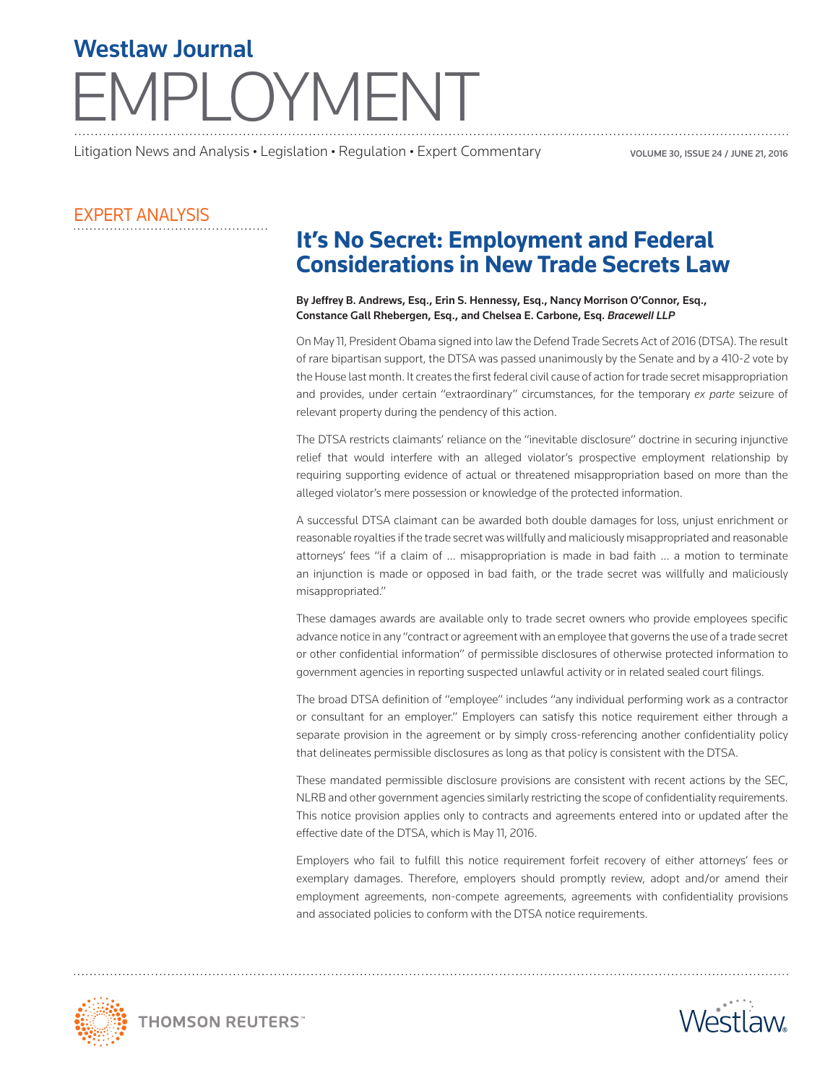## PLOYMENT Westlaw Journal

Litigation News and Analysis • Legislation • Regulation • Expert Commentary

VOLUME 30, ISSUE 24 / JUNE 21, 2016

## EXPERT ANALYSIS

## **It's No Secret: Employment and Federal Considerations in New Trade Secrets Law**

## By Jeffrey B. Andrews, Esq., Erin S. Hennessy, Esq., Nancy Morrison O'Connor, Esq., Constance Gall Rhebergen, Esq., and Chelsea E. Carbone, Esq. *Bracewell LLP*

On May 11, President Obama signed into law the Defend Trade Secrets Act of 2016 (DTSA). The result of rare bipartisan support, the DTSA was passed unanimously by the Senate and by a 410-2 vote by the House last month. It creates the first federal civil cause of action for trade secret misappropriation and provides, under certain "extraordinary" circumstances, for the temporary *ex parte* seizure of relevant property during the pendency of this action.

The DTSA restricts claimants' reliance on the "inevitable disclosure" doctrine in securing injunctive relief that would interfere with an alleged violator's prospective employment relationship by requiring supporting evidence of actual or threatened misappropriation based on more than the alleged violator's mere possession or knowledge of the protected information.

A successful DTSA claimant can be awarded both double damages for loss, unjust enrichment or reasonable royalties if the trade secret was willfully and maliciously misappropriated and reasonable attorneys' fees "if a claim of … misappropriation is made in bad faith … a motion to terminate an injunction is made or opposed in bad faith, or the trade secret was willfully and maliciously misappropriated."

These damages awards are available only to trade secret owners who provide employees specific advance notice in any "contract or agreement with an employee that governs the use of a trade secret or other confidential information" of permissible disclosures of otherwise protected information to government agencies in reporting suspected unlawful activity or in related sealed court filings.

The broad DTSA definition of "employee" includes "any individual performing work as a contractor or consultant for an employer." Employers can satisfy this notice requirement either through a separate provision in the agreement or by simply cross-referencing another confidentiality policy that delineates permissible disclosures as long as that policy is consistent with the DTSA.

These mandated permissible disclosure provisions are consistent with recent actions by the SEC, NLRB and other government agencies similarly restricting the scope of confidentiality requirements. This notice provision applies only to contracts and agreements entered into or updated after the effective date of the DTSA, which is May 11, 2016.

Employers who fail to fulfill this notice requirement forfeit recovery of either attorneys' fees or exemplary damages. Therefore, employers should promptly review, adopt and/or amend their employment agreements, non-compete agreements, agreements with confidentiality provisions and associated policies to conform with the DTSA notice requirements.